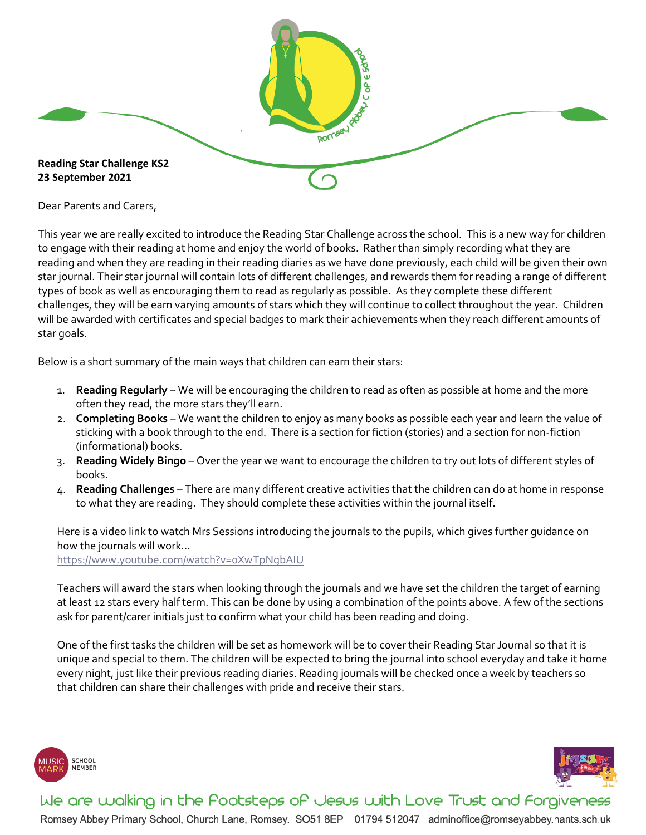

Dear Parents and Carers,

This year we are really excited to introduce the Reading Star Challenge across the school. This is a new way for children to engage with their reading at home and enjoy the world of books. Rather than simply recording what they are reading and when they are reading in their reading diaries as we have done previously, each child will be given their own star journal. Their star journal will contain lots of different challenges, and rewards them for reading a range of different types of book as well as encouraging them to read as regularly as possible. As they complete these different challenges, they will be earn varying amounts of stars which they will continue to collect throughout the year. Children will be awarded with certificates and special badges to mark their achievements when they reach different amounts of star goals.

Below is a short summary of the main ways that children can earn their stars:

- 1. **Reading Regularly** We will be encouraging the children to read as often as possible at home and the more often they read, the more stars they'll earn.
- 2. **Completing Books** We want the children to enjoy as many books as possible each year and learn the value of sticking with a book through to the end. There is a section for fiction (stories) and a section for non-fiction (informational) books.
- 3. **Reading Widely Bingo** Over the year we want to encourage the children to try out lots of different styles of books.
- 4. **Reading Challenges** There are many different creative activities that the children can do at home in response to what they are reading. They should complete these activities within the journal itself.

Here is a video link to watch Mrs Sessions introducing the journals to the pupils, which gives further guidance on how the journals will work…

https://www.youtube.com/watch?v=0XwTpNgbAIU

Teachers will award the stars when looking through the journals and we have set the children the target of earning at least 12 stars every half term. This can be done by using a combination of the points above. A few of the sections ask for parent/carer initials just to confirm what your child has been reading and doing.

One of the first tasks the children will be set as homework will be to cover their Reading Star Journal so that it is unique and special to them. The children will be expected to bring the journal into school everyday and take it home every night, just like their previous reading diaries. Reading journals will be checked once a week by teachers so that children can share their challenges with pride and receive their stars.





We are walking in the Pootsteps of Jesus with Love Trust and Forgiveness

Romsey Abbey Primary School, Church Lane, Romsey. SO51 8EP 01794 512047 adminoffice@romseyabbey.hants.sch.uk